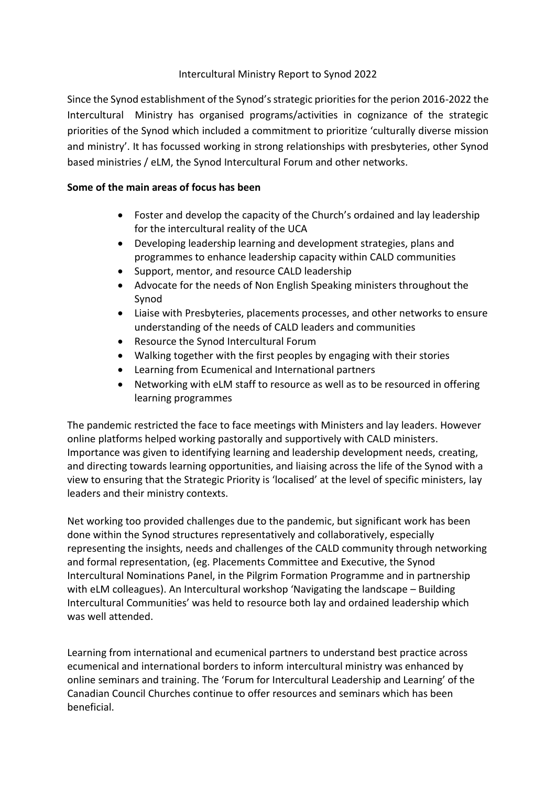## Intercultural Ministry Report to Synod 2022

Since the Synod establishment of the Synod's strategic priorities for the perion 2016-2022 the Intercultural Ministry has organised programs/activities in cognizance of the strategic priorities of the Synod which included a commitment to prioritize 'culturally diverse mission and ministry'. It has focussed working in strong relationships with presbyteries, other Synod based ministries / eLM, the Synod Intercultural Forum and other networks.

## **Some of the main areas of focus has been**

- Foster and develop the capacity of the Church's ordained and lay leadership for the intercultural reality of the UCA
- Developing leadership learning and development strategies, plans and programmes to enhance leadership capacity within CALD communities
- Support, mentor, and resource CALD leadership
- Advocate for the needs of Non English Speaking ministers throughout the Synod
- Liaise with Presbyteries, placements processes, and other networks to ensure understanding of the needs of CALD leaders and communities
- Resource the Synod Intercultural Forum
- Walking together with the first peoples by engaging with their stories
- Learning from Ecumenical and International partners
- Networking with eLM staff to resource as well as to be resourced in offering learning programmes

The pandemic restricted the face to face meetings with Ministers and lay leaders. However online platforms helped working pastorally and supportively with CALD ministers. Importance was given to identifying learning and leadership development needs, creating, and directing towards learning opportunities, and liaising across the life of the Synod with a view to ensuring that the Strategic Priority is 'localised' at the level of specific ministers, lay leaders and their ministry contexts.

Net working too provided challenges due to the pandemic, but significant work has been done within the Synod structures representatively and collaboratively, especially representing the insights, needs and challenges of the CALD community through networking and formal representation, (eg. Placements Committee and Executive, the Synod Intercultural Nominations Panel, in the Pilgrim Formation Programme and in partnership with eLM colleagues). An Intercultural workshop 'Navigating the landscape – Building Intercultural Communities' was held to resource both lay and ordained leadership which was well attended.

Learning from international and ecumenical partners to understand best practice across ecumenical and international borders to inform intercultural ministry was enhanced by online seminars and training. The 'Forum for Intercultural Leadership and Learning' of the Canadian Council Churches continue to offer resources and seminars which has been beneficial.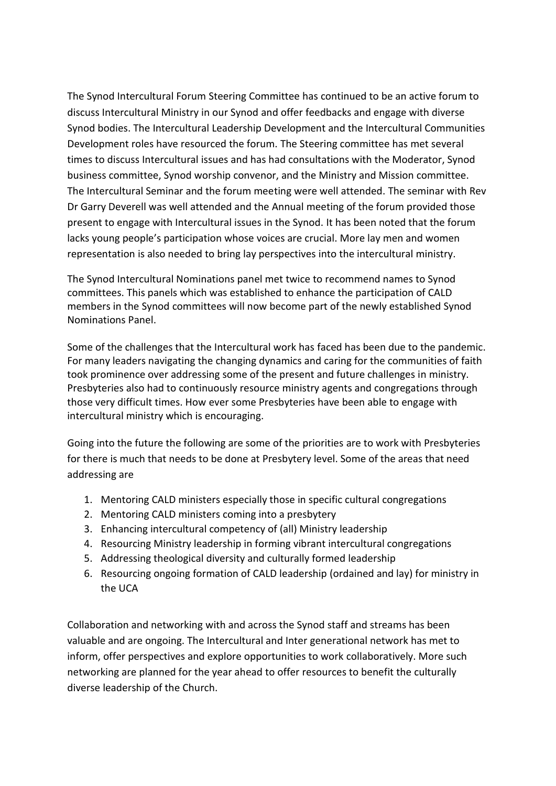The Synod Intercultural Forum Steering Committee has continued to be an active forum to discuss Intercultural Ministry in our Synod and offer feedbacks and engage with diverse Synod bodies. The Intercultural Leadership Development and the Intercultural Communities Development roles have resourced the forum. The Steering committee has met several times to discuss Intercultural issues and has had consultations with the Moderator, Synod business committee, Synod worship convenor, and the Ministry and Mission committee. The Intercultural Seminar and the forum meeting were well attended. The seminar with Rev Dr Garry Deverell was well attended and the Annual meeting of the forum provided those present to engage with Intercultural issues in the Synod. It has been noted that the forum lacks young people's participation whose voices are crucial. More lay men and women representation is also needed to bring lay perspectives into the intercultural ministry.

The Synod Intercultural Nominations panel met twice to recommend names to Synod committees. This panels which was established to enhance the participation of CALD members in the Synod committees will now become part of the newly established Synod Nominations Panel.

Some of the challenges that the Intercultural work has faced has been due to the pandemic. For many leaders navigating the changing dynamics and caring for the communities of faith took prominence over addressing some of the present and future challenges in ministry. Presbyteries also had to continuously resource ministry agents and congregations through those very difficult times. How ever some Presbyteries have been able to engage with intercultural ministry which is encouraging.

Going into the future the following are some of the priorities are to work with Presbyteries for there is much that needs to be done at Presbytery level. Some of the areas that need addressing are

- 1. Mentoring CALD ministers especially those in specific cultural congregations
- 2. Mentoring CALD ministers coming into a presbytery
- 3. Enhancing intercultural competency of (all) Ministry leadership
- 4. Resourcing Ministry leadership in forming vibrant intercultural congregations
- 5. Addressing theological diversity and culturally formed leadership
- 6. Resourcing ongoing formation of CALD leadership (ordained and lay) for ministry in the UCA

Collaboration and networking with and across the Synod staff and streams has been valuable and are ongoing. The Intercultural and Inter generational network has met to inform, offer perspectives and explore opportunities to work collaboratively. More such networking are planned for the year ahead to offer resources to benefit the culturally diverse leadership of the Church.